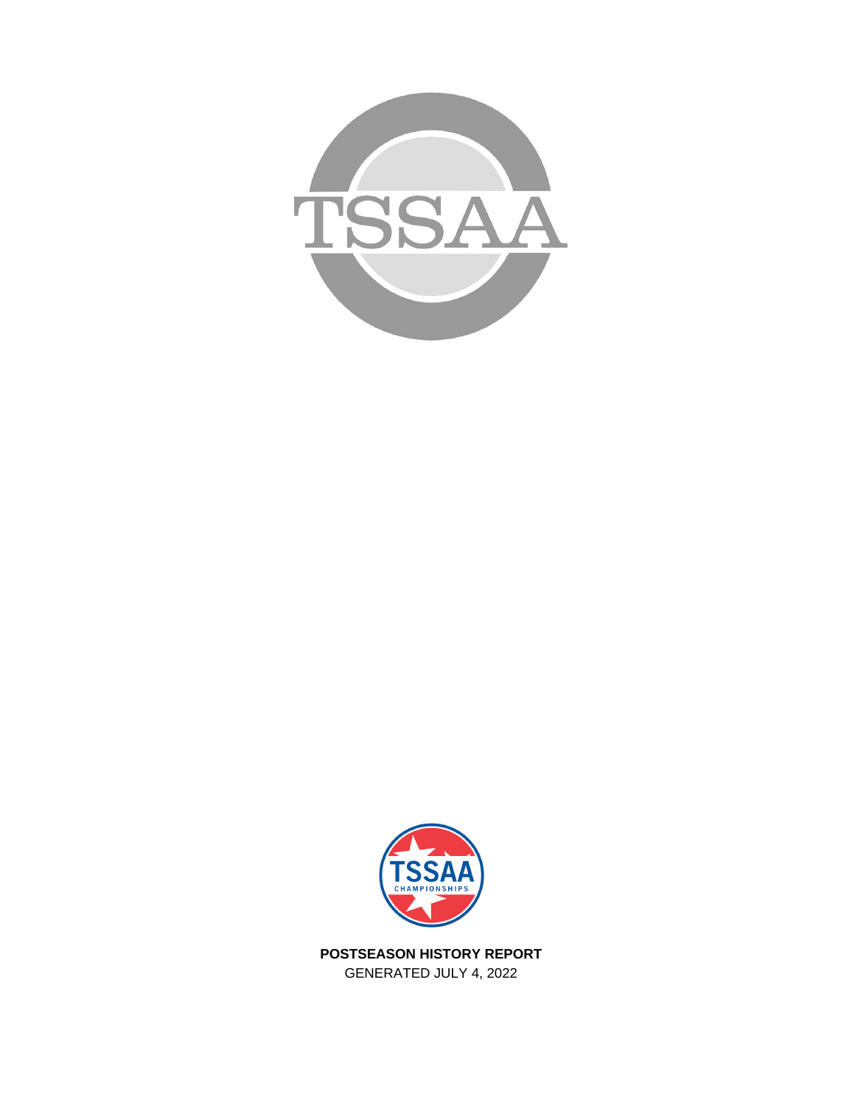



**POSTSEASON HISTORY REPORT** GENERATED JULY 4, 2022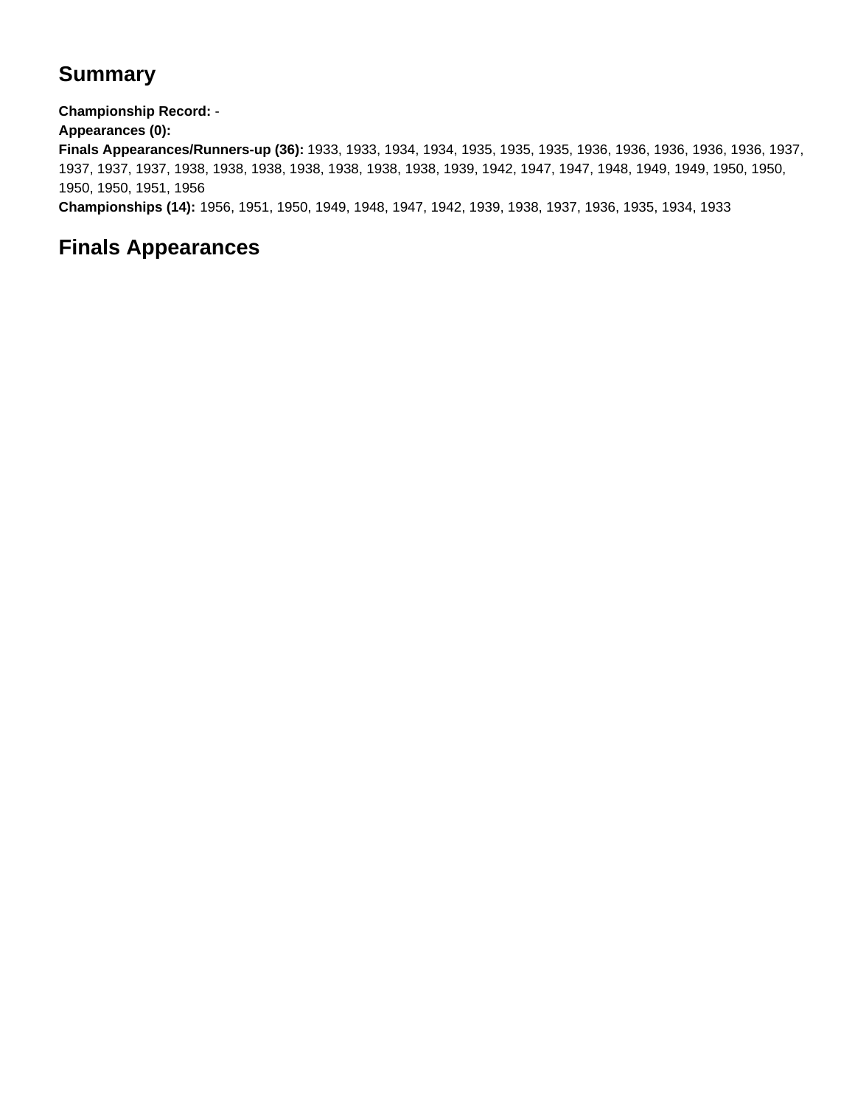## **Summary**

**Championship Record:** -

**Appearances (0):**

**Finals Appearances/Runners-up (36):** 1933, 1933, 1934, 1934, 1935, 1935, 1935, 1936, 1936, 1936, 1936, 1936, 1937, 1937, 1937, 1937, 1938, 1938, 1938, 1938, 1938, 1938, 1938, 1939, 1942, 1947, 1947, 1948, 1949, 1949, 1950, 1950, 1950, 1950, 1951, 1956

**Championships (14):** 1956, 1951, 1950, 1949, 1948, 1947, 1942, 1939, 1938, 1937, 1936, 1935, 1934, 1933

## **Finals Appearances**